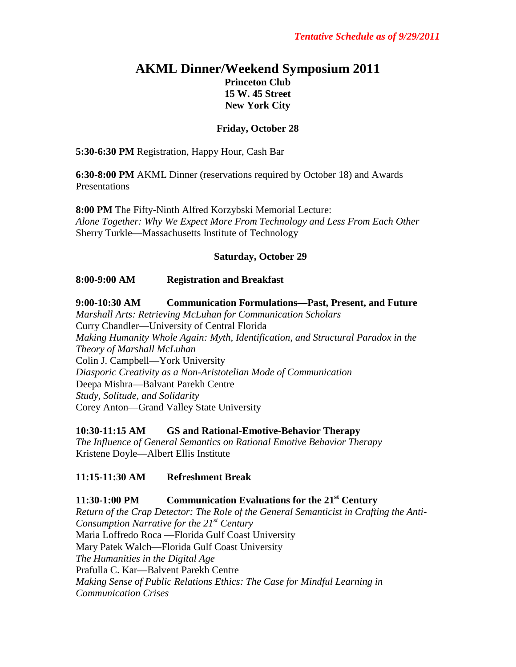# **AKML Dinner/Weekend Symposium 2011 Princeton Club 15 W. 45 Street New York City**

### **Friday, October 28**

**5:30-6:30 PM** Registration, Happy Hour, Cash Bar

**6:30-8:00 PM** AKML Dinner (reservations required by October 18) and Awards Presentations

**8:00 PM** The Fifty-Ninth Alfred Korzybski Memorial Lecture: *Alone Together: Why We Expect More From Technology and Less From Each Other* Sherry Turkle—Massachusetts Institute of Technology

#### **Saturday, October 29**

#### **8:00-9:00 AM Registration and Breakfast**

**9:00-10:30 AM Communication Formulations—Past, Present, and Future** *Marshall Arts: Retrieving McLuhan for Communication Scholars* Curry Chandler—University of Central Florida *Making Humanity Whole Again: Myth, Identification, and Structural Paradox in the Theory of Marshall McLuhan* Colin J. Campbell—York University *Diasporic Creativity as a Non-Aristotelian Mode of Communication* Deepa Mishra—Balvant Parekh Centre *Study, Solitude, and Solidarity* Corey Anton—Grand Valley State University

**10:30-11:15 AM GS and Rational-Emotive-Behavior Therapy**

*The Influence of General Semantics on Rational Emotive Behavior Therapy* Kristene Doyle—Albert Ellis Institute

### **11:15-11:30 AM Refreshment Break**

**11:30-1:00 PM Communication Evaluations for the 21st Century** *Return of the Crap Detector: The Role of the General Semanticist in Crafting the Anti-Consumption Narrative for the 21st Century* Maria Loffredo Roca —Florida Gulf Coast University Mary Patek Walch—Florida Gulf Coast University *The Humanities in the Digital Age*  Prafulla C. Kar—Balvent Parekh Centre *Making Sense of Public Relations Ethics: The Case for Mindful Learning in Communication Crises*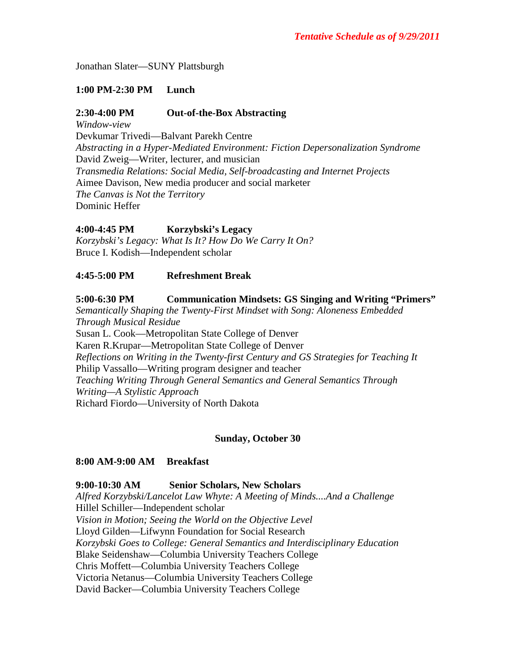Jonathan Slater—SUNY Plattsburgh

### **1:00 PM-2:30 PM Lunch**

### **2:30-4:00 PM Out-of-the-Box Abstracting**

*Window-view* Devkumar Trivedi—Balvant Parekh Centre *Abstracting in a Hyper-Mediated Environment: Fiction Depersonalization Syndrome* David Zweig—Writer, lecturer, and musician *Transmedia Relations: Social Media, Self-broadcasting and Internet Projects* Aimee Davison, New media producer and social marketer *The Canvas is Not the Territory* Dominic Heffer

## **4:00-4:45 PM Korzybski's Legacy**

*Korzybski's Legacy: What Is It? How Do We Carry It On?* Bruce I. Kodish—Independent scholar

### **4:45-5:00 PM Refreshment Break**

### **5:00-6:30 PM Communication Mindsets: GS Singing and Writing "Primers"**

*Semantically Shaping the Twenty-First Mindset with Song: Aloneness Embedded Through Musical Residue* Susan L. Cook—Metropolitan State College of Denver Karen R.Krupar—Metropolitan State College of Denver *Reflections on Writing in the Twenty-first Century and GS Strategies for Teaching It* Philip Vassallo—Writing program designer and teacher *Teaching Writing Through General Semantics and General Semantics Through Writing—A Stylistic Approach* Richard Fiordo—University of North Dakota

### **Sunday, October 30**

#### **8:00 AM-9:00 AM Breakfast**

#### **9:00-10:30 AM Senior Scholars, New Scholars**

*Alfred Korzybski/Lancelot Law Whyte: A Meeting of Minds....And a Challenge* Hillel Schiller—Independent scholar *Vision in Motion; Seeing the World on the Objective Level* Lloyd Gilden—Lifwynn Foundation for Social Research *Korzybski Goes to College: General Semantics and Interdisciplinary Education* Blake Seidenshaw—Columbia University Teachers College Chris Moffett—Columbia University Teachers College Victoria Netanus—Columbia University Teachers College David Backer—Columbia University Teachers College